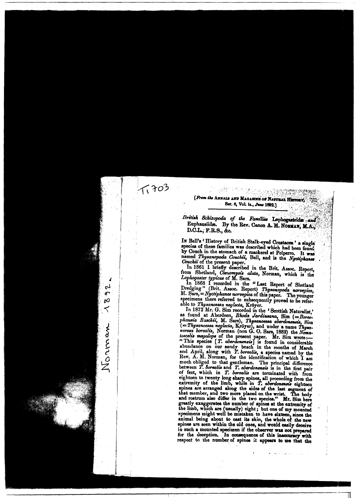## [From the ANNALS AND MAGAZINE OF NATURAL HISTO Ser. 6, Vol. ix., June 1892,]

 $7,703$ 

4

 $\mathcal{C}$ 

 $\mathbf{r}$ 

Ø

7

Norman

British Schizopoda of the Families Lophogastrides and Euphausiides. By the Rev. Canon A. M. NORMAN, M.A., D.C.L., F.R.S., &c.

In Bell's 'History of British Stalk-eyed Crustaces ' a single species of these families was described which had been found by Couch in the stomach of a mackerel at Polperro. It was named Thysanopoda Couchii, Bell, and is the Nyctiphanes Couchi of the present paper.

In 1861 I briefly described in the Brit. Assoc. Report, from Shetland, Ctenomysis alata, Norman, which is the Lophogaster typicus of M. Sars.

In 1868 I recorded in the "Last Report of Shetland Dredging" (Brit. Assoc. Report) Thysanopoda norvegica,<br>M. Sars, = Nyctiphanes norvegica of this paper. The younger specimens there referred to subsequently proved to be referable to Thysanoessa neglecta, Kröyer.

In 1872 Mr. G. Sim recorded in the ' Scottish Naturalist,' In 1012 in. G. Sun recorded in the Scottish Naturalist,<br>as found at Aberdeen, *Rhoda Jardineana*, Sim (= Boreo-<br>phausia Raschii, M. Sars), Thysanoessa aberdonensis, Sim<br> $(=$  Thysanoessa neglecta, Kröyer), and under a name abundance on our sandy beach in the months of March and April, along with T. borealis, a species named by the Rev. A. M. Norman, for the identification of which I am much obliged to that gentleman. The principal difference<br>between T. Sorealis and T. aberdonensis is in the first pair between 1. Obradis and 1. aberdonesses is in the first pair<br>of feet, which in T. borealis are terminated with from<br>eighteen to twenty long sharp spines, all proceeding from the<br>extremity of the limb, while in T. aberdoness spines are arranged along the sides of the last segment of that member, and two more placed on the wrist. The body and rostrum also differ in the two species." Mr. Sim here greatly exaggerates the number of spines at the extremity of the limb, which are (usually) eight; but one of my mounted specimens might well be mistaken to have sixteen, since the animal being about to cast its skin, the whole of the new spines are seen within the old ones, and would easily deceive in such a mounted specimen if the observer was not prepared for the deception. In consequence of this inaccuracy with respect to the number of spines it appears to me that the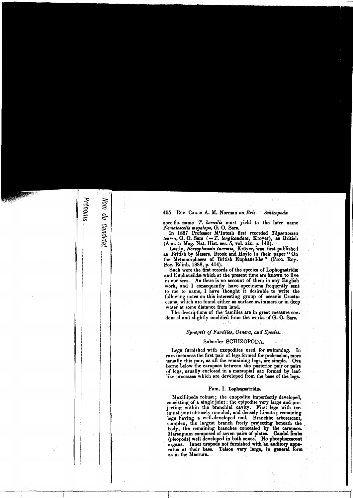### 455 Rev. Canon A. M. Norman on Brite Schizopoda

Prénoms

Nom du Candida:

specific name T. lorealis must yield to the later name<br>Nematoscelis megalops, G. O. Sars.<br>In 1887 Professor M<sup>4</sup>Intosh first recorded Thysanoessa<br>tenera, G. O. Sars (=T. longicaudata, Kröyer), as British<br>(Ann. L Mag. Nat.

Such were the first records of the species of Lophogastridæ and Euphausiide which at the present time are known to live in our seas. As there is no account of them in any English work, and I consequently have specimens frequently sent to me to name, I have thought it desiruble to write the following notes on this interesting group of oceanic Crustaceans, which are found either as surface swimmers or in deep water at some distance from land.

The descriptions of the families are in great measure condensed and slightly modified from the works of G. O. Sars.

#### Synopsis of Families, Genera, and Species.

#### Suborder SCHIZOPODA.

Legs furnished with exopodites used for swimming. In rare instances the first pair of legs formed for prehension, more usually this pair, as all the remaining legs, are simple. Ova borne below the carapace between the posterior pair or pairs of legs, usually enclosed in a marsupial sac formed by leaflike processes which are developed from the base of the legs.

#### Fam. I. Lophogastridæ.

Maxillipeds robust; the exopodite imperfectly developed, consisting of a single joint; the epipodite very large and projecting within the branchial cavity. First legs with terminal joint obtusely rounded, and densely hirsute; remaining<br>legs having a well-developed nail. Branchise arborescent, legs naving a wen-developed nail. Branchie aroorescent,<br>complex, the largest branch freely projecting beneath the<br>body, the remaining branches concealed by the carapace.<br>Maraupium composed of seven pairs of plates. Caudal as in the Macrura.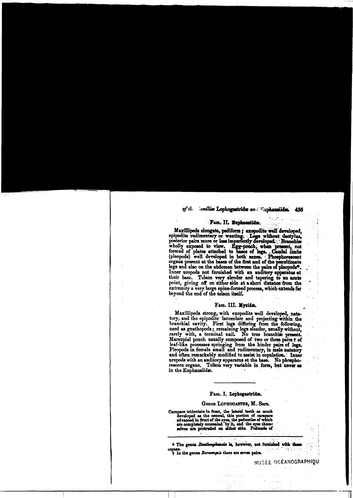#### of the *comilies* Lophogastrides and Euphannides. 456

#### Fam. II. Euphausiids.

Maxillipeds elongate, pediform; exopodite well developed, maximpeds etongate, peditorn ; exopodite well developed,<br>epipodite rudimentary or wanting. . Legs without, darly<br>posterior pairs more or less imperfectly developed. Branchise<br>wholly exposed to view. Egg-pouch, when present legal and also on the abdomen between the pairs of pleopods.<br>Inner uropods not furnished with an auditory apparatus at their base. Telson very slender and tapering to an acute point, giving off on either side at a short di extremity a very large spine-formed process, which extends far beyond the end of the telson itself.

#### Fam. III. Mysids.

Maxillipeds strong, with exopodite well developed, nata-<br>tory, and the epipodite lanceolate and projecting within the branchial cavity. First legs differing from the following, used as gnathopods; remaining legs slender, usually without, rarely with, a terminal nail. No true branchise present. Marsupial pouch usually composed of two or three pairs + of<br>leaf-like processes springing from the hinder pairs of legs.<br>Pleopods in female small and rudimentary, in male natatory<br>and often remarkably modified to assist in uropods with an auditory apparatus at the base. No phosphorescent organs. Telson very variable in form, but never as in the Euphausiidæ.

## Fam. I. Lophogastrids.

#### Genus LOPHOGASTER, M. SArs.

Carapace tridentate in front, the lateral teeth as much developed as the central, this portion of carapace advanced in front of the eyes, the peduncles of which are completely concealed by it, and the eyes them-selves are

\* The genus Benthemphansis is, however, not furnished with these 性能も organs.<br>
† In the genus *Boreomysis* there are seven pairs.

MUSÉE OCÉANOGRAPHIQU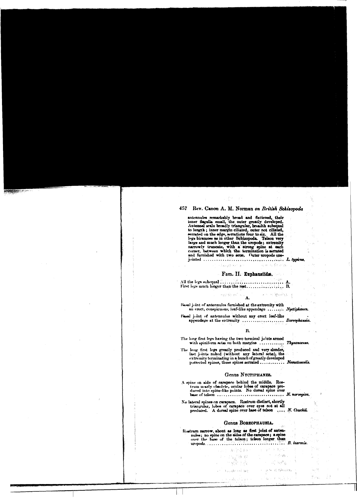## 457 Rev. Canon A. M. Norman on British Schizopoda

antennules remarkably broad and flattened, their<br>inner flagella small, the outer greatly developed.<br>Antennal scale broadly triangular, breadth subequal<br>to length ; inner margin ciliated, outer not ciliated,<br>eerrated on the legs biramose as in other Schizopoda. Telson very large and much longer than the uropods; extremity<br>narrowly truncate, with a strong spine at each<br>corner, between which the termination is serrated<br>and furnished with two se 

#### Fam. II. Euphausiids.

ut as in Security.

 $\mathcal{A}^{(n)} = \{ \gamma \in \mathbb{R}^n_+ \cup \{ \gamma \in \mathcal{I}_n \} \} \subset \mathbb{C}$ 

 $\left\langle \left\langle \mathcal{L}_{\mathcal{G}}\right\rangle \right\rangle \otimes \left\langle \mathcal{L}_{\mathcal{G}}\right\rangle \otimes \left\langle \mathcal{L}_{\mathcal{G}}\right\rangle \otimes \mathcal{L}_{\mathcal{G}}$ 

 $\frac{1}{2} \left( \sigma_{\text{eff}} \sigma_{\text{eff}} \right) \left( \sigma_{\text{eff}} \right) = \frac{1}{H}$  .

Basal joint of antennules furnished at the extremity with an erect, conspicuous, leaf-like appendage ........ Nyctiphanes.

Hasal joint of antennules without any erect leaf-like appendage at the extremity ................... Boreophansia.

#### B.

The long first legs having the two terminal joints armed<br>with spiniform sets on both margins  $\ldots \ldots \ldots$ , Thysanoessa.

The long first legs greatly produced and very alender,<br>last joints naked (without any lateral sets), the<br>extremity terminating in a bunch of greatly developed<br>porrected spines, these spines serrated............ Nematosceli

l., et

 $\frac{d^2}{d^2} \geq \frac{d^2}{d^2}$  .

43

Jest.

一个 医外皮 机低  $\gamma=\pi/2$  decision

 $\lambda_0 \sim \beta$ 

 $\epsilon = \epsilon_{\rm b}^{\rm s}/\hbar \phi^{\rm p} g$ i si pisa di Ghandha (

#### Genus NYCTIPHANES.

A spine on side of carapace behind the middle. Rostrum nearly obsolete, ocular lobes of carapace pro-<br>duced into spine-like points. No dorsal spine over 

No lateral spines on carapace. Rostrum distinct, shortly triangular, lobes of carapace over eyes not at all<br>produced. A dorsal spine over base of telson .... N. Couchi.

## Genus BOREOPHAUSIA.

春雪暗 新叶

(後期)<br>大学 (特)

I have showed the co

A.

 $\alpha^{-1}$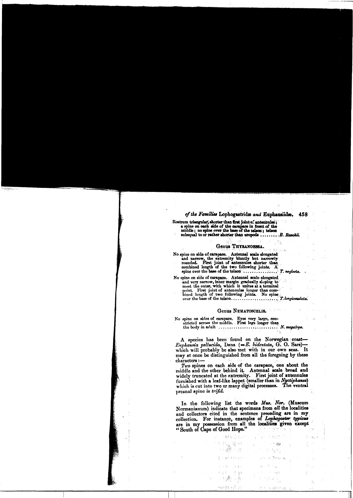## of the Families Lophogastridæ and Euphausiidæ. 458

Rostrum triangular, shorter than first joint of antennules;<br>a spine on each side of the carapace in front of the<br>middle; no spine over the base of the teleon; teleon<br>subequal to or rather shorter than uropods ............

### Genus THYSANOESSA.

ŘЪ.

.<br>Roher ka

No spine on side of carapace. Antennal scale elongated spine on side of carapace. Antennal scale elongated<br>and narrow, the extremity buturly but narrowly<br>rounded. First joint of antennules shorter than<br>combined length of the two following joints. A<br>spine over the base of the t

No spine on side of carapace. Antennal scale elongated and very narrow, inner margin gradually sloping to<br>meet the outer, which which it unites at a terminal<br>point. First joint of antennules longer than com-<br>bined length of two following joints. No spins 

#### Genus NEMATOSCELIS. 达尔拉坦氏

A species has been found on the Norwegian coast-<br>Euphausia pellucida, Dana  $(=E. \; bidentata, \; G. \; Osars)$ which will probably be also met with in our own seas. H. may at once be distinguished from all the foregoing by these characters :-

Two spines on each side of the carapace, one about the middle and the other behind it. Antennal scale broad and widely truncated at the extremity. First joint of antennules furnished with a leaf-like lappet (smaller than in Nyctiphanes) which is cut into two or many digital processes. The ventral preanal spine is trifid.

In the following list the words Mus. Nor. (Museum Normanianum) indicate that specimens from all the localities Formalismum/mateur and collectors cited in the sentence preceding are in my collection. For instance, examples of *Lophogaster typicus* are in my possession from all the localities given except "South of Cape of Good Hope.

 $\mathcal{L}$ 

 $\sim$ 

 $\epsilon_{\rm in}$  angle  $\epsilon^{\rm in}$ 

 $\sim$   $\sim$   $\ensuremath{\mu_{\mathrm{P}}}\xspace$ 

فأزلت

 $\mathcal{L}^{\mathcal{L}}(\mathcal{M}_{\mathcal{R}}^{\mathcal{L}})$ 

 $\beta_{\rm S}(\gamma_{\rm S})$  ,  $\mathcal{Q}_{\rm T}$  . Moreover,  $\beta_{\rm S}$ 

 $R(f_0)_{n=0}^{n-1} f_0 \in \mathbb{R}^n$ 

 $-6.2 - 1.$ 

iab

175일 활성<br>기대(행기간)

Foundation of the com-

 $2.332$ 

 $\mathbf{v}$  ,  $\mathbf{g}_{\mathcal{D}}$ irogi 1941. a S

 $\alpha_{\rm T}^{\rm eff}$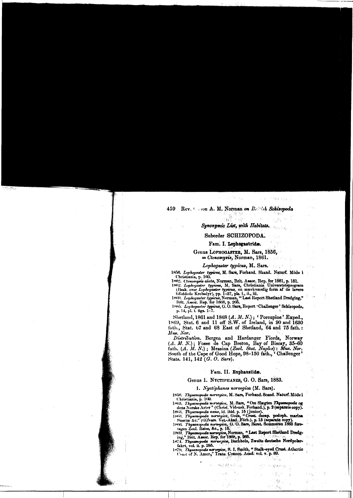#### Rev. Com A. M. Norman on Breech Schizopoda 459 -ANIKA<br>1920-2021 ે જૂટ

# Synonymic List, with Habitats.

#### Suborder SCHIZOPODA.

Ser.

ana<br>Aliku Maharama

观察

#### Fam. I. Lophogastride.

Genus LOPHOGASTER, M. Sars, 1856,  $=$  Ctenomysis, Norman, 1861.

## Lophogaster typicus, M. Sars.

Lophogaster typicus, B1. Sars,<br>
1856. Lophogaster typicus, M. Sars, Forhand. Skand. Naturf. Möde i<br>
1856. Lophogaster typicus, M. Sars, Forhand. Skand. Naturf. Möde i<br>
1862. Crenomysis alata, Norman, Brit. Assoc. Rep. for

Shetland, 1861 and 1868 (A. M. N.); 'Porcupine' Exped., 1869, Stat. 6 and 11 off S.W. of Ireland, in 90 and 1630 fath., Stat. 67 and 68 East of Shetland, 64 and 75 fath.: Mus. Nor.

Distribution. Bergen and Hardanger Fiords, Norway (A. M. N.); Fosse de Cap Breton, Bay of Biscay, 35-60 fath. (A. M. N.); Messina (Zool. Stat. Naples): Mus. Nor. South of the Cape of Good Hope, 98-150 fath., 'Challenger' Stats. 141, 142 (G. O. Sars).

#### Fam. II. Euphausiids.

### Genus 1. NYCTIPHANES, G. O. Sars, 1883.

## 1. Nyctiphanes norvegica (M. Sars).

1858. Thysanopoda norveyica, M. Sars, Forhand. Scand. Naturf. Möde i Christiania, p. 169.

Christiania, p. 163).<br>
1848, Thysenopoda norvegica, M. Sars, "Om Slægten Thysenopoda og dens Norske Arter" (Christ, Vidensk, Forhand.), p. 2 (separate copy).<br>
1863, Thysenopoda name, id. ibid., p. 15 (junior).<br>
1863, Thyse

nart, vol. n. p. 250.<br>1879. Thysenopoda norvegica, S. I. Smith, "Stalk-eyed Crust. Atlantic Coast of N. Amer.," Trans. Connec. Acad: vol. v. p. 80.

 $\mathcal{Y}_{N+1}$  :

一倍的糖制作的。

医肾能

ਦਿਨ ਨਿਲ 1<sub>8</sub>

 $\mathcal{L}_{\mathcal{D}} \simeq \sqrt{\mathcal{M}}_{\mathcal{M}_{\mathcal{D}}^{\mathcal{D}}}$ 

 $\left\{ \gamma_{\vec{B}}^{(k)} \right\}_{k=0}^{N}$   $^{12}$ 

 $\mathcal{A}_{\mathcal{G}}$  .

 $\frac{1}{2}$ 

i kis

Ŷ.

The Rendered States and the States

 $\mathcal{L}^{\text{max}}$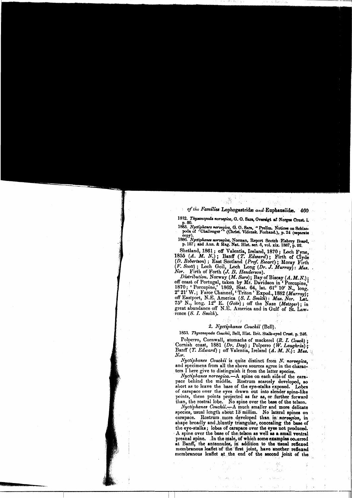# of the Families Lophogastride and Euphausiide. 460

1832. Thysanopoda norvegica, G.O. Sars, Oversigt af Norges Crust. i.

1832. Thysanopods norvegica, G. O. Sars, Oversigt af Norges Orust. i.<br>1832. Thysanopods norvegica, G. O. Sars, "Prelim. Notices on Schizopods of "Challenger" (Christ. Vidensk. Forhand.), p. 24 (separate copy).<br>1886. Nyctip

Shetland, 1861; off Valentia, Ireland, 1870; Loch Fyne, 1855 (A. M. N.); Banff (T. Edward); Einch of Clyde (D. Robertson); East Scotland (Prof. Eveart); Moray Firth (F. Scott); Loch Goil, Loch Long (Dr. J. Murray): Mus.<br>No

Distribution. Norway (M. B. Henderson).<br>
Distribution. Norway (M. Sars); Bay of Biscay (A. M. N.);<br>
off coast of Portugal, taken by Mr. Davidson in 'Porcupine,<br>
1870; 'Porcupine,' 1869, Stat. 64, lat. 61° 10' N., long.<br>
2 rence  $(S. I. Smith)$ .

#### 2. Nyctiphanes Couchii (Bell).

1853. Thysanopoda Couchii, Bell, Hist. Brit. Stalk-eyed Crust. p. 246.

Polperro, Cornwall, stomachs of mackerel (R. I. Couch);<br>Cornish coast, 1881 (Dr. Day); Polperro (W. Laughrin);<br>Banff (T. Edward); off Valentia, Ireland (A. M. N.): Mus. Nor

Nyctiphanes Couchit is quite distinct from N. norvegica, and specimens from all the above sources agree in the characters I here give to distinguish it from the latter species.

Nyctiphanes norvegica. A spine on each side of the carashort as to leave the base of the eye-stalks exposed. Lobes of carapace over the eyes drawn out into slender spine-like points, these points projected as far as, or further forward than, the rostral lobe. No spine over the base of the telson.<br>Nyctiphanes Couchii.<br>A much smaller and more delicate

species, usual length about 13 millim. No lateral spines on carapace. Rostrum more developed than in norvegica, in shape broadly and bluntly triangular, concealing the base of the eye-stalks; lobes of carapace over the eyes not produced. A spine over the base of the telson as well as a small ventral Freamal spine. The male, of which some examples occurred<br>at Banff, the antennules, in addition to the usual reflexed<br>at Banff, the antennules, in addition to the usual reflexed<br>membranous leaflet of the first joint, have a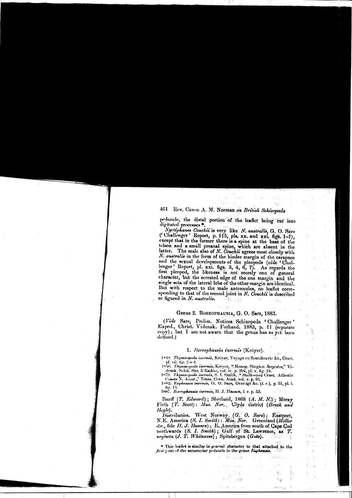# 461 Rev. Canon A. M. Norman on British Schizopoda

Sign

 $\mathcal{L}_{\mathrm{in}}$  $\sim$  95  $\sigma$ 

> $\mathcal{H}_{\mathcal{C}}$  $\frac{1}{2} \sum_{\substack{ \lambda \in \mathcal{A}^{\mathcal{A}} \\ \lambda \in \mathcal{A}}}$

and and the

 $\tilde{g}^{\rm c}_{\rm c}$ 

L.

k julija  $\sim$   $\sim$ 

peduncle, the distal portion of the leaflet being eut into digitated processes ..

Nyctiphanes Couchit is very like N. australis, G. O. Sars<br>('Challenger ' Report, p. 115, pls. xx. and xxi. figs. 1-7),<br>except that in the former there is a spine at the base of the telson and a small preanal spine, which are absent in the latter. The male also of N. Couchii agrees most closely with N. australis in the form of the hinder margin of the carapace and the sexual developments of the pleopods (vide 'Challenger' Report, pl. xxi. figs. 3, 4, 6, 7). As regards the first pleopod, the likeness is not merely one of general character, but the serrated edge of the one margin and the single seta of the lateral lobe of the other margin are identical. But with respect to the male antennules, no leaflet corresponding to that of the second joint in N. Couchii is described or figured in N. australis. ਾ ਇਸ ਦਾਨ

## Genus 2. BOREOPHAUSIA, G. O. Sars, 1883.

(Vide Sars, Prelim. Notices Schizopoda 'Challenger' Exped., Christ. Vidensk. Forhand. 1883, p. 11 (separate copy); but I am not aware that the genus has as yet been defined.)

#### 1. Boreophausia inermis (Kröyer).

1849. Thysanopoda inermis, Kröver, Voyage en Scandinavie &c., Crust.

1840, *Thysanopoda inermia*, Kroyer, Voyage en Scandinavie &c., Crust.<br>
1840, Thysanopoda inermia, Kröyer, <sup>4</sup> Monog, Shegten Sergestes," Vi-<br>
densk. Selsk. Skr, 5 Itackie, vol. iv., p. 294, pl. v. fig. 24.<br>
1850. Thysanop fig. 15.

1887. Boreophausia inermis, H. J. Hansen, I. c. p. 53.

Banff (T. Edward); Shetland, 1868 (A. M. N.); Moray<br>Firth (T. Scott): Mus. Nor., Clyde district (Brook and Hoyle).

Distribution. West Norway (G. O. Sars); Eastport,<br>N.E. America (S. I. Smith): Mus. Nor. Greenland (Möller S.E. America (33. 1. Smith) : Talas. Aver. Creemand (moter<br>de., fide H. J. Hansen) ; E. America from south of Cape Cod<br>northwards (S. I. Smith) ; Gulf of St. Lawrence, as T.<br>neglecta (J. T. Whiteaves) ; Spitsbergen (Goës).

\* This leaflet is similar in general character to that attached to the first joint of the antennular peduncle in the genus Euphausia.

 $\omega b \rightarrow \gamma \gamma$  with  $\epsilon$  . a<br>T

فرحينا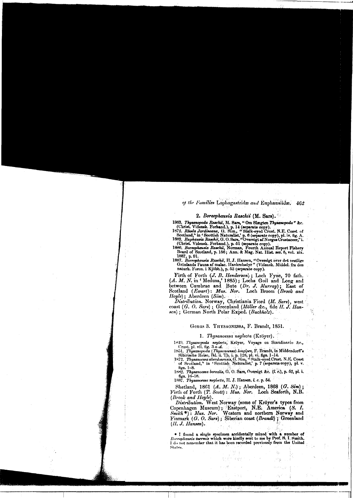### of the Families Lophogastrida and Euphausiida. 462

#### 2. Boreophausia Raschii (M. Sars).

1863. Thysanopoda Raschii, M. Sare, "Om Slægten Thysanopoda" &c.

1863. Thysmopoda Raschii, hl. Sars, "Om Slægten Thysmopoda" &C.<br>
(Christ, Vidensk. Forhand.), p. 14 (separate copy).<br>
1872. Rhoda Jardineana, G. Sim., "Stalk-eyed Crust. N.E. Coast of<br>
Scotland," in "Scottish Naturalist,"

1887, p. 01.<br>
1887. Boreophausia Raschii, H. J. Hansen, "Oversigt over det vestlige Grönlands Fauna af malac. Havkrebsdyr " (Vidensk. Middel. fra den naturh. Foren. i Kjöbh.), p. 53 (separate copy).

Firth of Forth (J. B. Henderson); Loch Fyne, 70 fath.<br>
(A. M. N. in 'Medusa,' 1885); Lochs Goil and Long and<br>
between Cumbrae and Bute (Dr. J. Murray); East of<br>
Scotland (Ewart): Mus. Nor. Loch Broom (Brook and

Scotianu (Eurary).<br>
Iloyle); Aberdeen (Sim).<br>
Distribution. Norway, Christiania Fiord (M. Sars), west coast (G. O. Sars); Greenland (Möller &c., fide H. J. Hansen) ; German North Polar Exped. (Buchholz).

## Genus 3. THYSAONESSA, F. Brandt, 1851.

### 1. Thysanoessa neglecta (Kröyer).

1849. Thysanopoda neglecta, Kröyer, Voyage en Scandinavie &c.,

1847. Inganopoda negreca, Kryger, Voyago en Scandinavio (t.),<br>
Crust, pl. vi, fig. 3 a-d.<br>
1851. Thysamopoda (Thysamoessa) longipes, F. Brandt, in Middendorff's<br>
Sibirische Reise, Rd. ii. Th. i. p. 128, pl. vi. figs. 1-14.

tigs. 1-8. 1882. Thysanoessa borealis, G. O. Sars, Oversigt &c. (l. c.), p. 52, pl. i.

the strategy of the strategy of the strategy of the strategy of the strategy of the strategy of the strategy of the strategy of the strategy of the strategy of the strategy of the strategy of the strategy of the strategy o

Shetland, 1861 (A. M. N.); Aberdeen, 1868 (G. Sim);<br>Firth of Forth (T. Scott): Mus. Nor. Loch Seaforth, N.B.

(Brook and Hoyle).<br>
Distribution. West Norway (some of Kröyer's types from<br>
Copenhagen Museum); Eastport, N.E. America (S. I.<br>
Smith<sup>\*</sup>): Mus. Nor. Western and northern Norway and Finmark (G. O. Sars); Siberian coast (Brandt); Greenland  $(II. J.$  Hansen).

\* I found a single specimen accidentally mixed with a number of To response the magnetic section with the set of the set of the set of the set of the set of the set of the set of the set of the set of the set of the set of the set of the set of the set of the set of the set of the set States,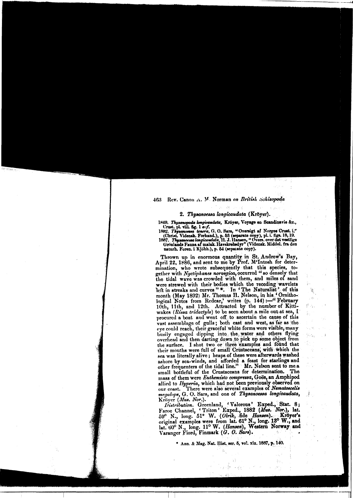## 463 Rev. Canon A. M. Norman on British Schizopoda

#### 2. Thysanoessa longicaudata (Kröyer).

1849. Thysanopoda longicaudata, Kröyer, Voyage en Scandinavie &c.,

Crust. pl. viii. fig. 1 a-f.<br>1882. Thysenoesea tenera, G. O. Sars, "Oversigt af Norges Crust. i." Christ, Videnak. Forhand.), p. 53 (separate copy), pl. i. figa. 18, 19.<br>1887. Thysenocesa longicuudata, 11. J. Hansen, "Overs. over det vestlige Grönlands Fauna af malak. Havskrebedyr" (Videnak. Middel. fra den

naturh. Foren. i Kjöbh.), p. 54 (separate copy).

Thrown up in enormous quantity in St. Andrew's Bay, April 22, 1886, and sent to me by Prof. M'Intosh for determination, who wrote subsequently that this species, together with Nyctiphanes norvegica, occurred " so densely that the tidal wave was crowded with them, and miles of sand were strewed with their bodies which the receding wavelets<br>left in streaks and curves " $*$ . In 'The Naturalist" of this<br>month (May 1892) Mr. Thomas H. Nelson, in his 'Ornitho-<br>logical Notes from Redear,' writes (p. 144):— 10th, 11th, and 12th. Attracted by the number of Kittiwakes (Rissa tridactyla) to be seen about a mile out at sea, I procured a boat and went off to ascertain the cause of this vast assemblage of gulls; both east and west, as far as the eye could reach, their graceful white forms were visible, many busily engaged dipping into, the water and others flying overhead and then darting down to pick up some object from the surface. I shot two or three examples and found that their mouths were full of small Crustaceans, with which the sea was literally alive; heaps of these were afterwards washed ashore by sea-winds, and afforded a feast for starlings and other frequenters of the tidal line." Mr. Nelson sent to me.a small bottleful of the Crustaceans for determination. The mass of them were Euthemisto compressa, Goës, an Amphipod allied to *Hyperia*, which had not been previously observed on our coast. There were also several examples of *Nematoscelis* our coast. There were also several examples of Nematoscelis megalops, G. O. Sars, and one of Thysanoessa longicaudata, Kröyer (Mus. Nor.).

 $\delta_{\rm A_1,A_2}$ 

Notice (2018, 1907.).<br>
Distribution. Greenland, 'Valorous' Exped., Stat. 8;<br>
Faroe Channel, 'Triton' Exped., 1882 (Mus. Nor.), lat.<br>
59° N., long. 51° W. (Olrik, fide Hansen)... Kröyer's<br>
original examples were from lat. Varanger Fiord, Finmark (G. O. Sars).

\* Ann. & Mag. Nat. Hist. ser. 5, vol. xix. 1887, p. 140.